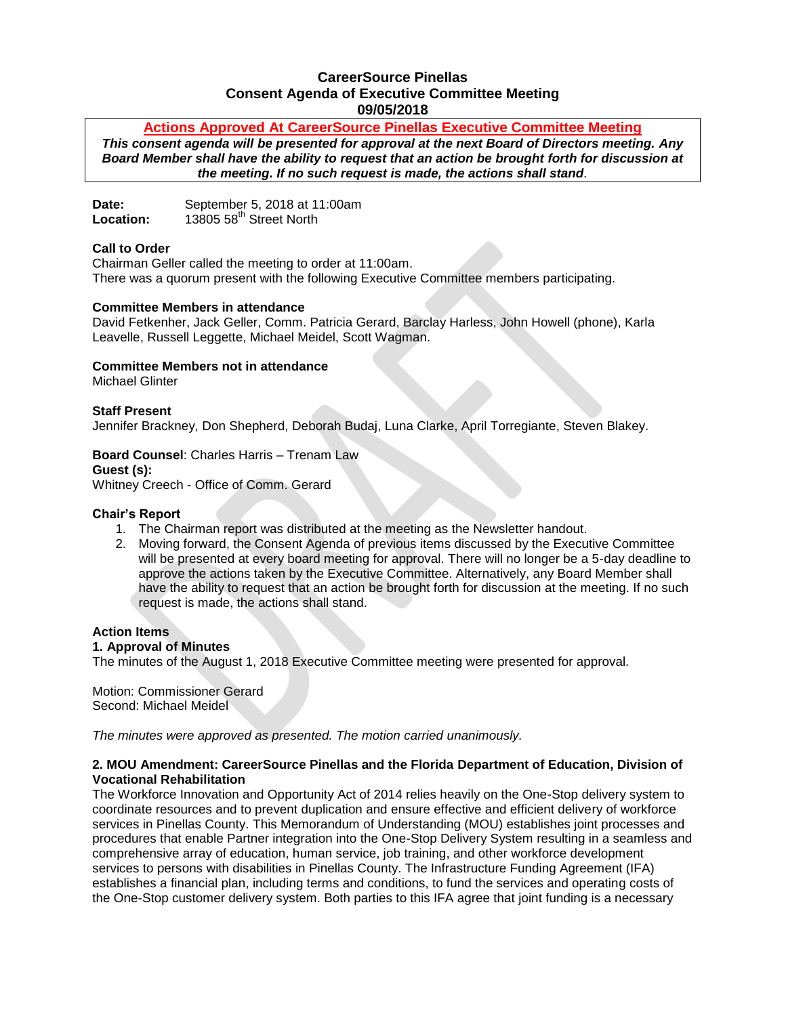# **CareerSource Pinellas Consent Agenda of Executive Committee Meeting 09/05/2018**

# **Actions Approved At CareerSource Pinellas Executive Committee Meeting**

*This consent agenda will be presented for approval at the next Board of Directors meeting. Any Board Member shall have the ability to request that an action be brought forth for discussion at the meeting. If no such request is made, the actions shall stand.*

Date: September 5, 2018 at 11:00am<br> **Location:** 13805 58<sup>th</sup> Street North 13805 58<sup>th</sup> Street North

### **Call to Order**

Chairman Geller called the meeting to order at 11:00am. There was a quorum present with the following Executive Committee members participating.

### **Committee Members in attendance**

David Fetkenher, Jack Geller, Comm. Patricia Gerard, Barclay Harless, John Howell (phone), Karla Leavelle, Russell Leggette, Michael Meidel, Scott Wagman.

### **Committee Members not in attendance**

Michael Glinter

### **Staff Present**

Jennifer Brackney, Don Shepherd, Deborah Budaj, Luna Clarke, April Torregiante, Steven Blakey.

# **Board Counsel**: Charles Harris – Trenam Law

**Guest (s):**  Whitney Creech - Office of Comm. Gerard

### **Chair's Report**

- 1. The Chairman report was distributed at the meeting as the Newsletter handout.
- 2. Moving forward, the Consent Agenda of previous items discussed by the Executive Committee will be presented at every board meeting for approval. There will no longer be a 5-day deadline to approve the actions taken by the Executive Committee. Alternatively, any Board Member shall have the ability to request that an action be brought forth for discussion at the meeting. If no such request is made, the actions shall stand.

# **Action Items**

### **1. Approval of Minutes**

The minutes of the August 1, 2018 Executive Committee meeting were presented for approval.

Motion: Commissioner Gerard Second: Michael Meidel

*The minutes were approved as presented. The motion carried unanimously.*

### **2. MOU Amendment: CareerSource Pinellas and the Florida Department of Education, Division of Vocational Rehabilitation**

The Workforce Innovation and Opportunity Act of 2014 relies heavily on the One-Stop delivery system to coordinate resources and to prevent duplication and ensure effective and efficient delivery of workforce services in Pinellas County. This Memorandum of Understanding (MOU) establishes joint processes and procedures that enable Partner integration into the One-Stop Delivery System resulting in a seamless and comprehensive array of education, human service, job training, and other workforce development services to persons with disabilities in Pinellas County. The Infrastructure Funding Agreement (IFA) establishes a financial plan, including terms and conditions, to fund the services and operating costs of the One-Stop customer delivery system. Both parties to this IFA agree that joint funding is a necessary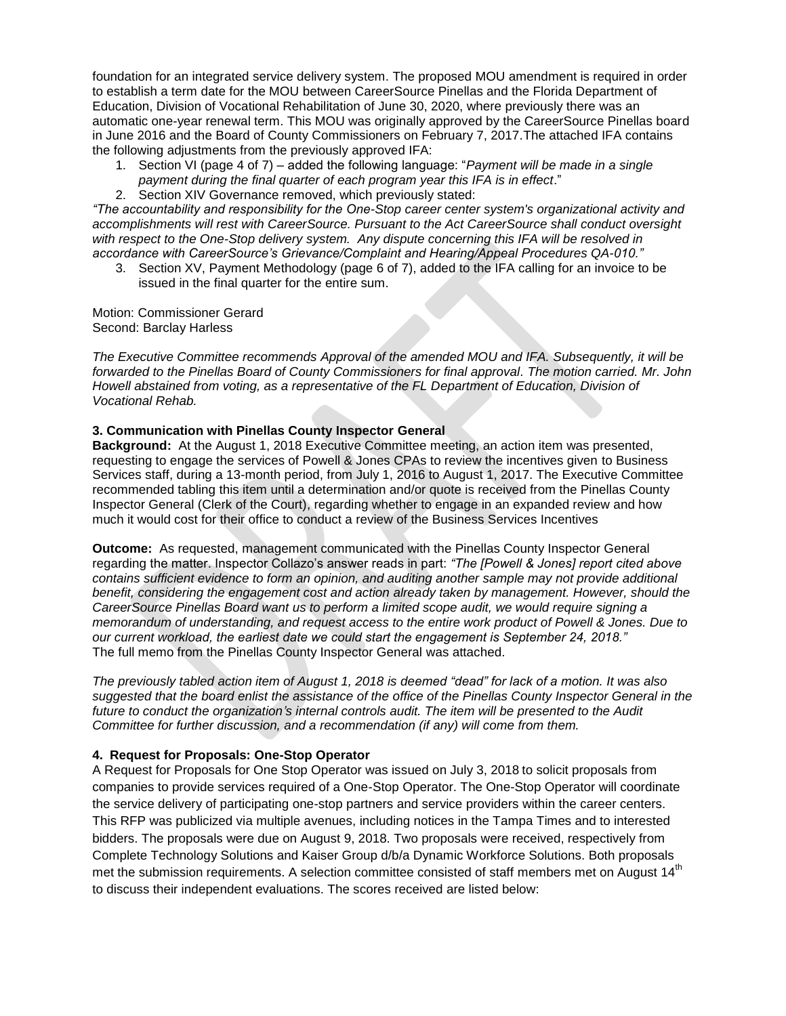foundation for an integrated service delivery system. The proposed MOU amendment is required in order to establish a term date for the MOU between CareerSource Pinellas and the Florida Department of Education, Division of Vocational Rehabilitation of June 30, 2020, where previously there was an automatic one-year renewal term. This MOU was originally approved by the CareerSource Pinellas board in June 2016 and the Board of County Commissioners on February 7, 2017.The attached IFA contains the following adjustments from the previously approved IFA:

- 1. Section VI (page 4 of 7) added the following language: "*Payment will be made in a single payment during the final quarter of each program year this IFA is in effect*."
- 2. Section XIV Governance removed, which previously stated:

*"The accountability and responsibility for the One-Stop career center system's organizational activity and accomplishments will rest with CareerSource. Pursuant to the Act CareerSource shall conduct oversight with respect to the One-Stop delivery system. Any dispute concerning this IFA will be resolved in accordance with CareerSource's Grievance/Complaint and Hearing/Appeal Procedures QA-010."*

3. Section XV, Payment Methodology (page 6 of 7), added to the IFA calling for an invoice to be issued in the final quarter for the entire sum.

Motion: Commissioner Gerard Second: Barclay Harless

*The Executive Committee recommends Approval of the amended MOU and IFA. Subsequently, it will be forwarded to the Pinellas Board of County Commissioners for final approval. The motion carried. Mr. John Howell abstained from voting, as a representative of the FL Department of Education, Division of Vocational Rehab.* 

# **3. Communication with Pinellas County Inspector General**

**Background:** At the August 1, 2018 Executive Committee meeting, an action item was presented, requesting to engage the services of Powell & Jones CPAs to review the incentives given to Business Services staff, during a 13-month period, from July 1, 2016 to August 1, 2017. The Executive Committee recommended tabling this item until a determination and/or quote is received from the Pinellas County Inspector General (Clerk of the Court), regarding whether to engage in an expanded review and how much it would cost for their office to conduct a review of the Business Services Incentives

**Outcome:** As requested, management communicated with the Pinellas County Inspector General regarding the matter. Inspector Collazo's answer reads in part: *"The [Powell & Jones] report cited above contains sufficient evidence to form an opinion, and auditing another sample may not provide additional benefit, considering the engagement cost and action already taken by management. However, should the CareerSource Pinellas Board want us to perform a limited scope audit, we would require signing a memorandum of understanding, and request access to the entire work product of Powell & Jones. Due to our current workload, the earliest date we could start the engagement is September 24, 2018."* The full memo from the Pinellas County Inspector General was attached.

*The previously tabled action item of August 1, 2018 is deemed "dead" for lack of a motion. It was also suggested that the board enlist the assistance of the office of the Pinellas County Inspector General in the future to conduct the organization's internal controls audit. The item will be presented to the Audit Committee for further discussion, and a recommendation (if any) will come from them.*

# **4. Request for Proposals: One-Stop Operator**

A Request for Proposals for One Stop Operator was issued on July 3, 2018 to solicit proposals from companies to provide services required of a One-Stop Operator. The One-Stop Operator will coordinate the service delivery of participating one-stop partners and service providers within the career centers. This RFP was publicized via multiple avenues, including notices in the Tampa Times and to interested bidders. The proposals were due on August 9, 2018. Two proposals were received, respectively from Complete Technology Solutions and Kaiser Group d/b/a Dynamic Workforce Solutions. Both proposals met the submission requirements. A selection committee consisted of staff members met on August 14<sup>th</sup> to discuss their independent evaluations. The scores received are listed below: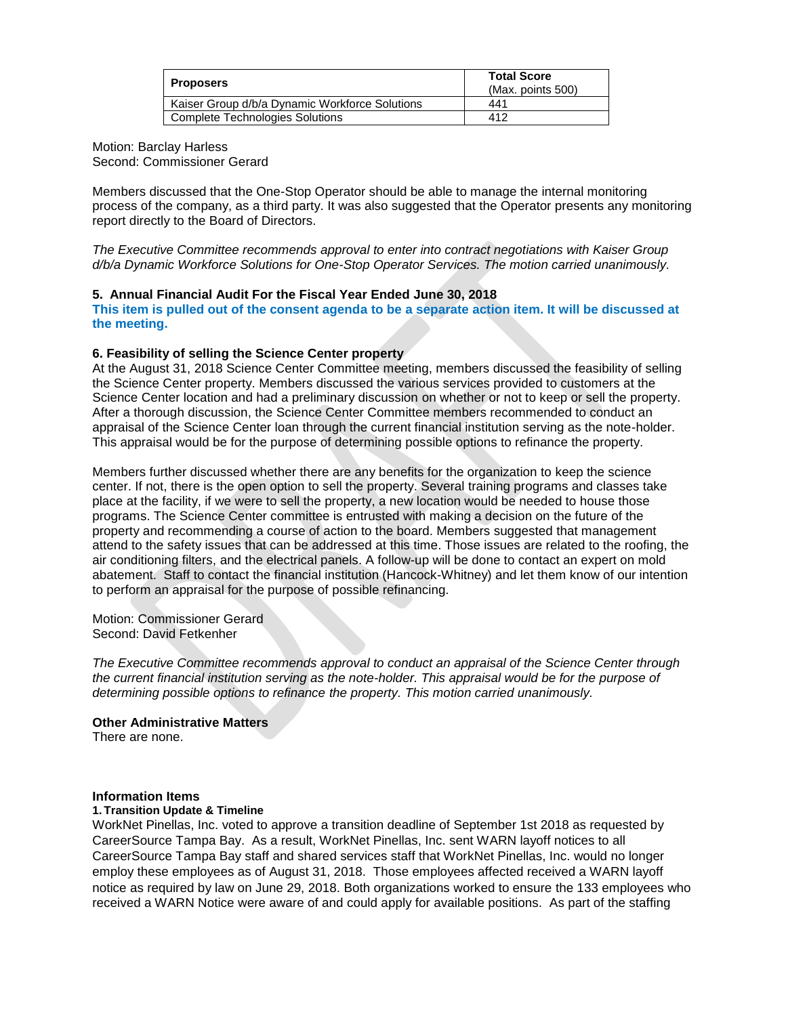| Proposers                                      | <b>Total Score</b><br>(Max. points 500) |
|------------------------------------------------|-----------------------------------------|
| Kaiser Group d/b/a Dynamic Workforce Solutions | 441                                     |
| <b>Complete Technologies Solutions</b>         | 412                                     |

Motion: Barclay Harless Second: Commissioner Gerard

Members discussed that the One-Stop Operator should be able to manage the internal monitoring process of the company, as a third party. It was also suggested that the Operator presents any monitoring report directly to the Board of Directors.

*The Executive Committee recommends approval to enter into contract negotiations with Kaiser Group d/b/a Dynamic Workforce Solutions for One-Stop Operator Services. The motion carried unanimously.* 

### **5. Annual Financial Audit For the Fiscal Year Ended June 30, 2018**

**This item is pulled out of the consent agenda to be a separate action item. It will be discussed at the meeting.** 

### **6. Feasibility of selling the Science Center property**

At the August 31, 2018 Science Center Committee meeting, members discussed the feasibility of selling the Science Center property. Members discussed the various services provided to customers at the Science Center location and had a preliminary discussion on whether or not to keep or sell the property. After a thorough discussion, the Science Center Committee members recommended to conduct an appraisal of the Science Center loan through the current financial institution serving as the note-holder. This appraisal would be for the purpose of determining possible options to refinance the property.

Members further discussed whether there are any benefits for the organization to keep the science center. If not, there is the open option to sell the property. Several training programs and classes take place at the facility, if we were to sell the property, a new location would be needed to house those programs. The Science Center committee is entrusted with making a decision on the future of the property and recommending a course of action to the board. Members suggested that management attend to the safety issues that can be addressed at this time. Those issues are related to the roofing, the air conditioning filters, and the electrical panels. A follow-up will be done to contact an expert on mold abatement. Staff to contact the financial institution (Hancock-Whitney) and let them know of our intention to perform an appraisal for the purpose of possible refinancing.

Motion: Commissioner Gerard Second: David Fetkenher

*The Executive Committee recommends approval to conduct an appraisal of the Science Center through the current financial institution serving as the note-holder. This appraisal would be for the purpose of determining possible options to refinance the property. This motion carried unanimously.* 

**Other Administrative Matters**

There are none.

### **Information Items**

### **1. Transition Update & Timeline**

WorkNet Pinellas, Inc. voted to approve a transition deadline of September 1st 2018 as requested by CareerSource Tampa Bay. As a result, WorkNet Pinellas, Inc. sent WARN layoff notices to all CareerSource Tampa Bay staff and shared services staff that WorkNet Pinellas, Inc. would no longer employ these employees as of August 31, 2018. Those employees affected received a WARN layoff notice as required by law on June 29, 2018. Both organizations worked to ensure the 133 employees who received a WARN Notice were aware of and could apply for available positions. As part of the staffing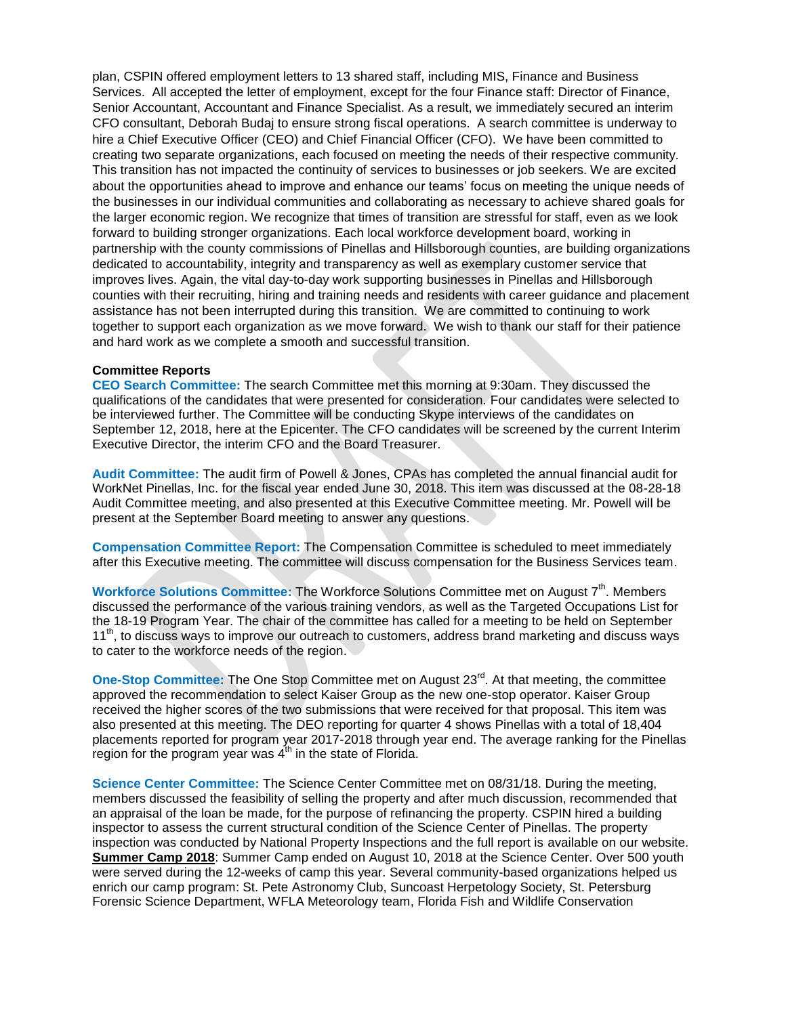plan, CSPIN offered employment letters to 13 shared staff, including MIS, Finance and Business Services. All accepted the letter of employment, except for the four Finance staff: Director of Finance, Senior Accountant, Accountant and Finance Specialist. As a result, we immediately secured an interim CFO consultant, Deborah Budaj to ensure strong fiscal operations. A search committee is underway to hire a Chief Executive Officer (CEO) and Chief Financial Officer (CFO). We have been committed to creating two separate organizations, each focused on meeting the needs of their respective community. This transition has not impacted the continuity of services to businesses or job seekers. We are excited about the opportunities ahead to improve and enhance our teams' focus on meeting the unique needs of the businesses in our individual communities and collaborating as necessary to achieve shared goals for the larger economic region. We recognize that times of transition are stressful for staff, even as we look forward to building stronger organizations. Each local workforce development board, working in partnership with the county commissions of Pinellas and Hillsborough counties, are building organizations dedicated to accountability, integrity and transparency as well as exemplary customer service that improves lives. Again, the vital day-to-day work supporting businesses in Pinellas and Hillsborough counties with their recruiting, hiring and training needs and residents with career guidance and placement assistance has not been interrupted during this transition. We are committed to continuing to work together to support each organization as we move forward. We wish to thank our staff for their patience and hard work as we complete a smooth and successful transition.

#### **Committee Reports**

**CEO Search Committee:** The search Committee met this morning at 9:30am. They discussed the qualifications of the candidates that were presented for consideration. Four candidates were selected to be interviewed further. The Committee will be conducting Skype interviews of the candidates on September 12, 2018, here at the Epicenter. The CFO candidates will be screened by the current Interim Executive Director, the interim CFO and the Board Treasurer.

**Audit Committee:** The audit firm of Powell & Jones, CPAs has completed the annual financial audit for WorkNet Pinellas, Inc. for the fiscal year ended June 30, 2018. This item was discussed at the 08-28-18 Audit Committee meeting, and also presented at this Executive Committee meeting. Mr. Powell will be present at the September Board meeting to answer any questions.

**Compensation Committee Report:** The Compensation Committee is scheduled to meet immediately after this Executive meeting. The committee will discuss compensation for the Business Services team.

**Workforce Solutions Committee: The Workforce Solutions Committee met on August 7<sup>th</sup>. Members** discussed the performance of the various training vendors, as well as the Targeted Occupations List for the 18-19 Program Year. The chair of the committee has called for a meeting to be held on September  $11<sup>th</sup>$ , to discuss ways to improve our outreach to customers, address brand marketing and discuss ways to cater to the workforce needs of the region.

**One-Stop Committee:** The One Stop Committee met on August 23<sup>rd</sup>. At that meeting, the committee approved the recommendation to select Kaiser Group as the new one-stop operator. Kaiser Group received the higher scores of the two submissions that were received for that proposal. This item was also presented at this meeting. The DEO reporting for quarter 4 shows Pinellas with a total of 18,404 placements reported for program year 2017-2018 through year end. The average ranking for the Pinellas region for the program year was  $4<sup>th</sup>$  in the state of Florida.

**Science Center Committee:** The Science Center Committee met on 08/31/18. During the meeting, members discussed the feasibility of selling the property and after much discussion, recommended that an appraisal of the loan be made, for the purpose of refinancing the property. CSPIN hired a building inspector to assess the current structural condition of the Science Center of Pinellas. The property inspection was conducted by National Property Inspections and the full report is available on our website. **Summer Camp 2018**: Summer Camp ended on August 10, 2018 at the Science Center. Over 500 youth were served during the 12-weeks of camp this year. Several community-based organizations helped us enrich our camp program: St. Pete Astronomy Club, Suncoast Herpetology Society, St. Petersburg Forensic Science Department, WFLA Meteorology team, Florida Fish and Wildlife Conservation